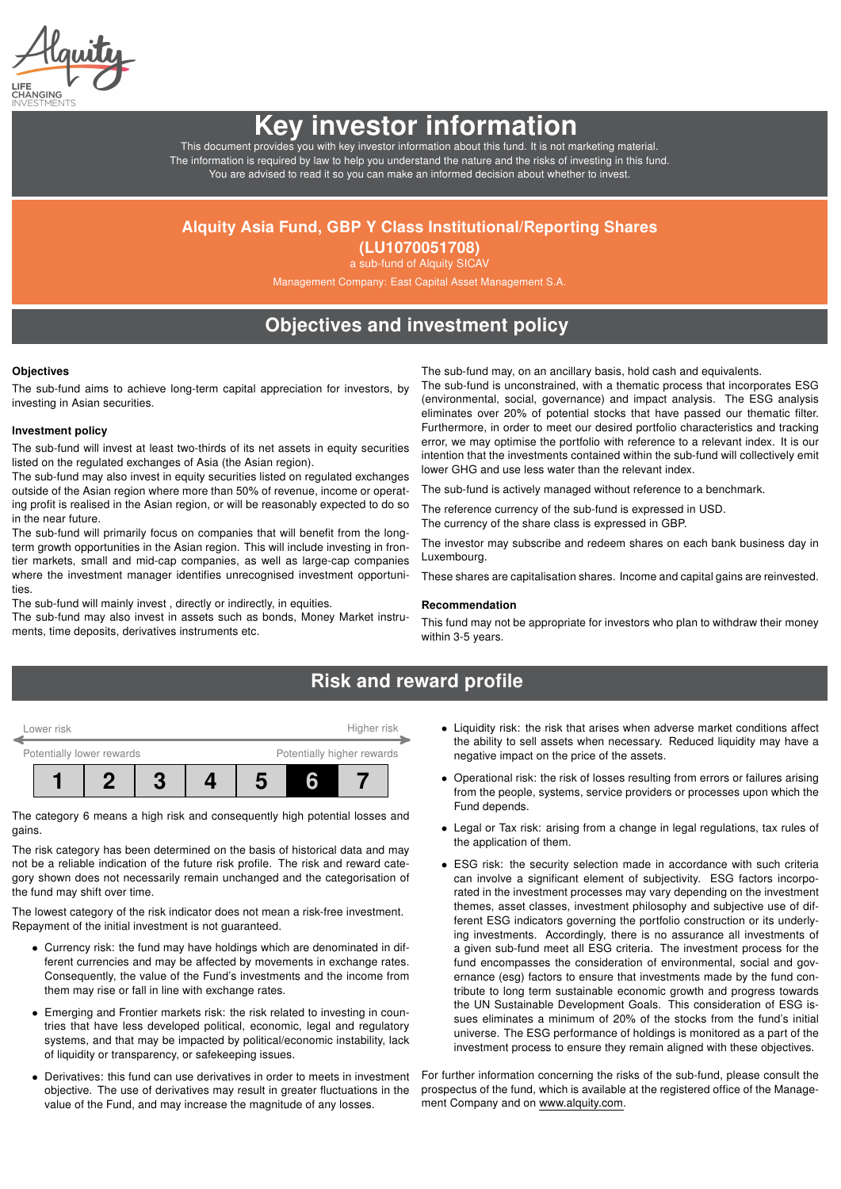# Key investor information

This document provides you with key investor information about this fund. It is not marketing material. The information is required by law to help you understand the nature and the risks of investing in this fund. You are advised to read it so you can make an informed decision about whether to invest.

### Alquity Asia Fund, GBP Y Class Institutional/Reporting Shares

(LU1070051708) a sub-fund of Alquity SICAV

Management Company: East Capital Asset Management S.A.

## Objectives and investment policy

#### **Objectives**

The sub-fund aims to achieve long-term capital appreciation for investors, by investing in Asian securities.

#### Investment policy

The sub-fund will invest at least two-thirds of its net assets in equity securities listed on the regulated exchanges of Asia (the Asian region).

The sub-fund may also invest in equity securities listed on regulated exchanges outside of the Asian region where more than 50% of revenue, income or operating profit is realised in the Asian region, or will be reasonably expected to do so in the near future.

The sub-fund will primarily focus on companies that will benefit from the longterm growth opportunities in the Asian region. This will include investing in frontier markets, small and mid-cap companies, as well as large-cap companies where the investment manager identifies unrecognised investment opportunities.

The sub-fund will mainly invest , directly or indirectly, in equities.

The sub-fund may also invest in assets such as bonds, Money Market instruments, time deposits, derivatives instruments etc.

The sub-fund may, on an ancillary basis, hold cash and equivalents.

The sub-fund is unconstrained, with a thematic process that incorporates ESG (environmental, social, governance) and impact analysis. The ESG analysis eliminates over 20% of potential stocks that have passed our thematic filter. Furthermore, in order to meet our desired portfolio characteristics and tracking error, we may optimise the portfolio with reference to a relevant index. It is our intention that the investments contained within the sub-fund will collectively emit lower GHG and use less water than the relevant index.

The sub-fund is actively managed without reference to a benchmark.

The reference currency of the sub-fund is expressed in USD. The currency of the share class is expressed in GBP.

The investor may subscribe and redeem shares on each bank business day in Luxembourg.

These shares are capitalisation shares. Income and capital gains are reinvested.

#### Recommendation

This fund may not be appropriate for investors who plan to withdraw their money within 3-5 years.

### Risk and reward profile



The category 6 means a high risk and consequently high potential losses and gains.

The risk category has been determined on the basis of historical data and may not be a reliable indication of the future risk profile. The risk and reward category shown does not necessarily remain unchanged and the categorisation of the fund may shift over time.

The lowest category of the risk indicator does not mean a risk-free investment. Repayment of the initial investment is not guaranteed.

- Currency risk: the fund may have holdings which are denominated in different currencies and may be affected by movements in exchange rates. Consequently, the value of the Fund's investments and the income from them may rise or fall in line with exchange rates.
- Emerging and Frontier markets risk: the risk related to investing in countries that have less developed political, economic, legal and regulatory systems, and that may be impacted by political/economic instability, lack of liquidity or transparency, or safekeeping issues.
- Derivatives: this fund can use derivatives in order to meets in investment objective. The use of derivatives may result in greater fluctuations in the value of the Fund, and may increase the magnitude of any losses.
- Liquidity risk: the risk that arises when adverse market conditions affect the ability to sell assets when necessary. Reduced liquidity may have a negative impact on the price of the assets.
- Operational risk: the risk of losses resulting from errors or failures arising from the people, systems, service providers or processes upon which the Fund depends.
- Legal or Tax risk: arising from a change in legal regulations, tax rules of the application of them.
- ESG risk: the security selection made in accordance with such criteria can involve a significant element of subjectivity. ESG factors incorporated in the investment processes may vary depending on the investment themes, asset classes, investment philosophy and subjective use of different ESG indicators governing the portfolio construction or its underlying investments. Accordingly, there is no assurance all investments of a given sub-fund meet all ESG criteria. The investment process for the fund encompasses the consideration of environmental, social and governance (esg) factors to ensure that investments made by the fund contribute to long term sustainable economic growth and progress towards the UN Sustainable Development Goals. This consideration of ESG issues eliminates a minimum of 20% of the stocks from the fund's initial universe. The ESG performance of holdings is monitored as a part of the investment process to ensure they remain aligned with these objectives.

For further information concerning the risks of the sub-fund, please consult the prospectus of the fund, which is available at the registered office of the Management Company and on [www.alquity.com.](http://www.alquity.com)